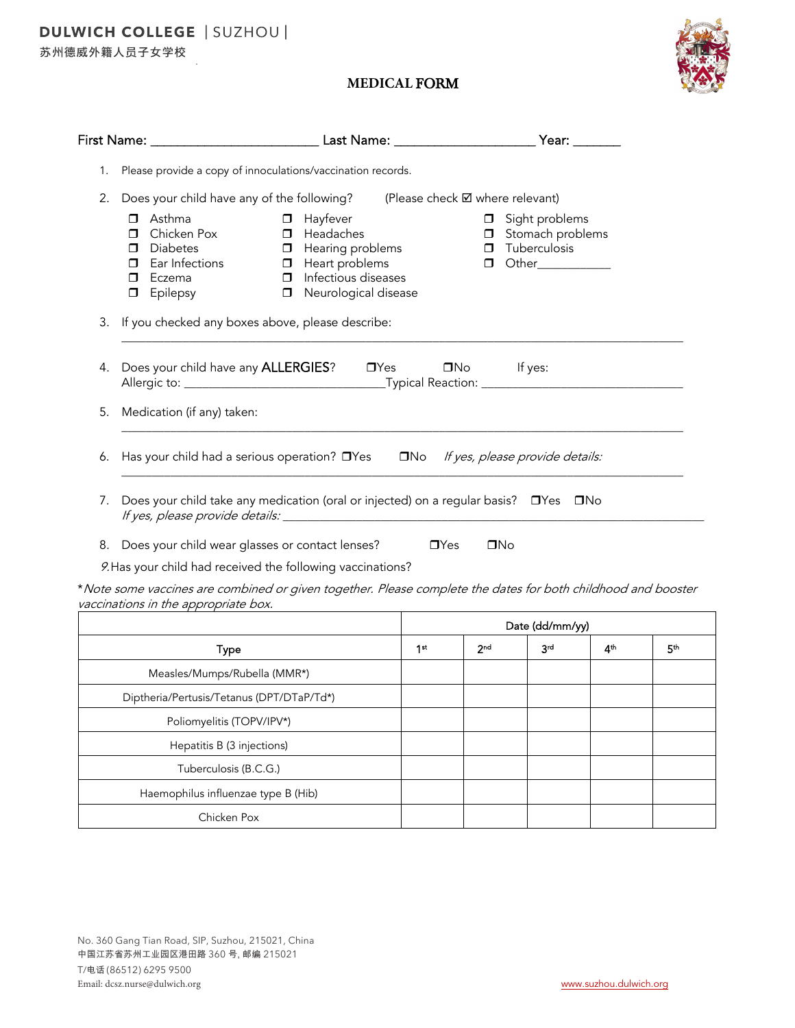苏州德威外籍人员子女学校

## **MEDICAL** FORM



|    | First Name: _____________________________                                                                                               | Last Name: ___________________                                                                                                                               | Year: _______                                                                                               |  |  |  |
|----|-----------------------------------------------------------------------------------------------------------------------------------------|--------------------------------------------------------------------------------------------------------------------------------------------------------------|-------------------------------------------------------------------------------------------------------------|--|--|--|
| 1. |                                                                                                                                         | Please provide a copy of innoculations/vaccination records.                                                                                                  |                                                                                                             |  |  |  |
| 2. | Does your child have any of the following? (Please check $\boxtimes$ where relevant)                                                    |                                                                                                                                                              |                                                                                                             |  |  |  |
|    | Asthma<br>$\Box$<br>Chicken Pox<br>$\Box$<br><b>Diabetes</b><br>п<br>Ear Infections<br>$\Box$<br>Eczema<br>$\Box$<br>Epilepsy<br>$\Box$ | Hayfever<br>$\Box$<br>$\Box$ Headaches<br><b>I</b> Hearing problems<br>$\Box$ Heart problems<br>$\Box$ Infectious diseases<br>Neurological disease<br>$\Box$ | Sight problems<br>$\Box$<br><b>I</b> Stomach problems<br>$\Box$ Tuberculosis<br>Other____________<br>$\Box$ |  |  |  |
| 3. | If you checked any boxes above, please describe:                                                                                        |                                                                                                                                                              |                                                                                                             |  |  |  |
|    |                                                                                                                                         |                                                                                                                                                              |                                                                                                             |  |  |  |
| 4. |                                                                                                                                         | Does your child have any <b>ALLERGIES</b> ? □ □ Yes                                                                                                          | $\Box$ No If yes:                                                                                           |  |  |  |
| 5. | Medication (if any) taken:                                                                                                              |                                                                                                                                                              |                                                                                                             |  |  |  |
|    | 6. Has your child had a serious operation? $\Box$ Yes $\Box$ No If yes, please provide details:                                         |                                                                                                                                                              |                                                                                                             |  |  |  |
|    |                                                                                                                                         |                                                                                                                                                              |                                                                                                             |  |  |  |
| 7. |                                                                                                                                         |                                                                                                                                                              | Does your child take any medication (oral or injected) on a regular basis? □ Yes □ No                       |  |  |  |
| 8. | Does your child wear glasses or contact lenses?                                                                                         |                                                                                                                                                              | $\square$ No<br>$\Box$ Yes                                                                                  |  |  |  |

\*Note some vaccines are combined or given together. Please complete the dates for both childhood and booster vaccinations in the appropriate box.

|                                           | Date (dd/mm/yy) |                 |     |                 |                 |
|-------------------------------------------|-----------------|-----------------|-----|-----------------|-----------------|
| <b>Type</b>                               | 1 <sup>st</sup> | 2 <sub>nd</sub> | 3rd | 4 <sup>th</sup> | 5 <sup>th</sup> |
| Measles/Mumps/Rubella (MMR*)              |                 |                 |     |                 |                 |
| Diptheria/Pertusis/Tetanus (DPT/DTaP/Td*) |                 |                 |     |                 |                 |
| Poliomyelitis (TOPV/IPV*)                 |                 |                 |     |                 |                 |
| Hepatitis B (3 injections)                |                 |                 |     |                 |                 |
| Tuberculosis (B.C.G.)                     |                 |                 |     |                 |                 |
| Haemophilus influenzae type B (Hib)       |                 |                 |     |                 |                 |
| Chicken Pox                               |                 |                 |     |                 |                 |